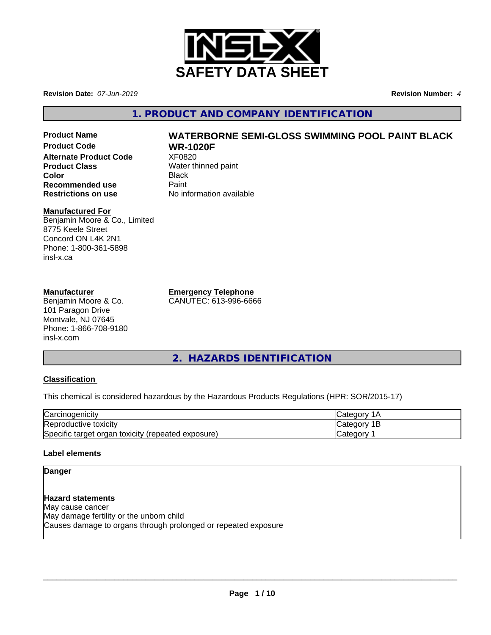

**Revision Date:** *07-Jun-2019* **Revision Number:** *4*

**1. PRODUCT AND COMPANY IDENTIFICATION**

**Product Code WR-1020F Alternate Product Code** XF0820 **Product Class** Water thinned paint **Color** Black **Recommended use** Paint<br> **Restrictions on use** No inf

# **Product Name WATERBORNE SEMI-GLOSS SWIMMING POOL PAINT BLACK**

**No information available** 

# **Manufactured For**

Benjamin Moore & Co., Limited 8775 Keele Street Concord ON L4K 2N1 Phone: 1-800-361-5898 insl-x.ca

# **Manufacturer**

Benjamin Moore & Co. 101 Paragon Drive Montvale, NJ 07645 Phone: 1-866-708-9180 insl-x.com

**Emergency Telephone**

CANUTEC: 613-996-6666

**2. HAZARDS IDENTIFICATION**

# **Classification**

This chemical is considered hazardous by the Hazardous Products Regulations (HPR: SOR/2015-17)

| $\sim$<br>√arcin<br>., cinoaenıcıtv                                       | $\sim$<br>$\sim$ $\sim$ |
|---------------------------------------------------------------------------|-------------------------|
| Reproductive toxicity                                                     | ∩∩r<br>بەت<br>-         |
| Specific<br>exposure)<br>toxicity<br>target<br>organ<br><i>(repeated)</i> | <br>$\sim$<br>valtu     |

# **Label elements**

# **Danger**

**Hazard statements** May cause cancer May damage fertility or the unborn child Causes damage to organs through prolonged or repeated exposure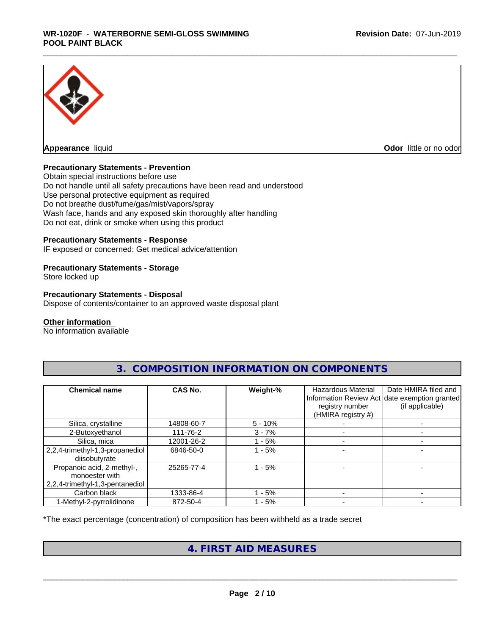

**Odor** little or no odor

# **Precautionary Statements - Prevention**

Obtain special instructions before use Do not handle until all safety precautions have been read and understood Use personal protective equipment as required Do not breathe dust/fume/gas/mist/vapors/spray Wash face, hands and any exposed skin thoroughly after handling Do not eat, drink or smoke when using this product

# **Precautionary Statements - Response**

IF exposed or concerned: Get medical advice/attention

# **Precautionary Statements - Storage**

Store locked up

### **Precautionary Statements - Disposal**

Dispose of contents/container to an approved waste disposal plant

### **Other information**

No information available

| <b>Chemical name</b>                                                            | CAS No.    | Weight-%   | Hazardous Material<br>registry number<br>(HMIRA registry #) | Date HMIRA filed and<br>Information Review Act date exemption granted<br>(if applicable) |
|---------------------------------------------------------------------------------|------------|------------|-------------------------------------------------------------|------------------------------------------------------------------------------------------|
| Silica, crystalline                                                             | 14808-60-7 | $5 - 10\%$ |                                                             |                                                                                          |
| 2-Butoxyethanol                                                                 | 111-76-2   | $3 - 7%$   |                                                             |                                                                                          |
| Silica, mica                                                                    | 12001-26-2 | $-5%$      |                                                             |                                                                                          |
| 2,2,4-trimethyl-1,3-propanediol<br>diisobutyrate                                | 6846-50-0  | $-5%$      |                                                             |                                                                                          |
| Propanoic acid, 2-methyl-,<br>monoester with<br>2,2,4-trimethyl-1,3-pentanediol | 25265-77-4 | $-5%$      |                                                             |                                                                                          |
| Carbon black                                                                    | 1333-86-4  | - 5%       |                                                             |                                                                                          |
| 1-Methyl-2-pyrrolidinone                                                        | 872-50-4   | $-5%$      |                                                             |                                                                                          |

# **3. COMPOSITION INFORMATION ON COMPONENTS**

\*The exact percentage (concentration) of composition has been withheld as a trade secret

# **4. FIRST AID MEASURES**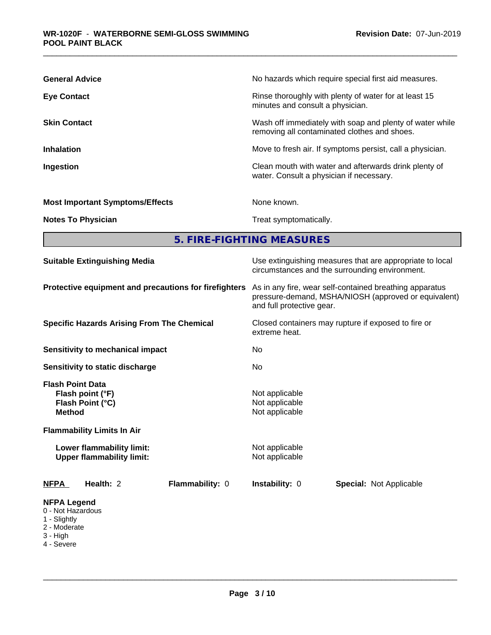| <b>General Advice</b>                  | No hazards which require special first aid measures.                                                     |
|----------------------------------------|----------------------------------------------------------------------------------------------------------|
| <b>Eye Contact</b>                     | Rinse thoroughly with plenty of water for at least 15<br>minutes and consult a physician.                |
| <b>Skin Contact</b>                    | Wash off immediately with soap and plenty of water while<br>removing all contaminated clothes and shoes. |
| <b>Inhalation</b>                      | Move to fresh air. If symptoms persist, call a physician.                                                |
| Ingestion                              | Clean mouth with water and afterwards drink plenty of<br>water. Consult a physician if necessary.        |
| <b>Most Important Symptoms/Effects</b> | None known.                                                                                              |
| <b>Notes To Physician</b>              | Treat symptomatically.                                                                                   |

**5. FIRE-FIGHTING MEASURES**

| <b>Suitable Extinguishing Media</b>                                                                | Use extinguishing measures that are appropriate to local<br>circumstances and the surrounding environment.                                   |
|----------------------------------------------------------------------------------------------------|----------------------------------------------------------------------------------------------------------------------------------------------|
| Protective equipment and precautions for firefighters                                              | As in any fire, wear self-contained breathing apparatus<br>pressure-demand, MSHA/NIOSH (approved or equivalent)<br>and full protective gear. |
| <b>Specific Hazards Arising From The Chemical</b>                                                  | Closed containers may rupture if exposed to fire or<br>extreme heat.                                                                         |
| <b>Sensitivity to mechanical impact</b>                                                            | No                                                                                                                                           |
| Sensitivity to static discharge                                                                    | No.                                                                                                                                          |
| <b>Flash Point Data</b><br>Flash point (°F)<br>Flash Point (°C)<br><b>Method</b>                   | Not applicable<br>Not applicable<br>Not applicable                                                                                           |
| <b>Flammability Limits In Air</b><br>Lower flammability limit:<br><b>Upper flammability limit:</b> | Not applicable<br>Not applicable                                                                                                             |
| Health: 2<br>Flammability: 0<br><b>NFPA</b>                                                        | Instability: 0<br><b>Special: Not Applicable</b>                                                                                             |
| <b>NFPA Legend</b><br>0 - Not Hazardous<br>1 - Slightly<br>2 - Moderate<br>3 - High                |                                                                                                                                              |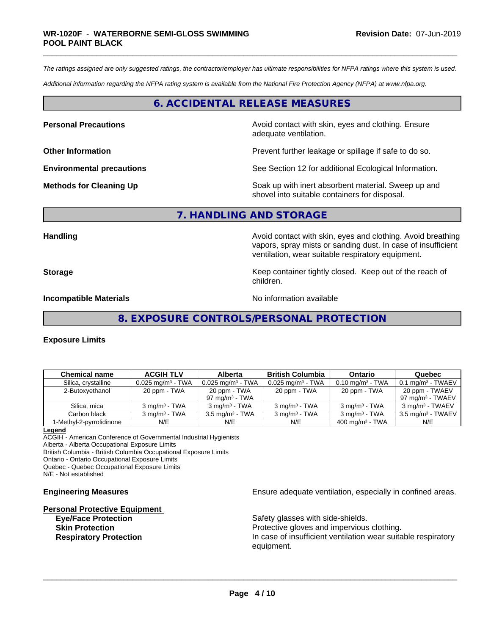*The ratings assigned are only suggested ratings, the contractor/employer has ultimate responsibilities for NFPA ratings where this system is used.*

*Additional information regarding the NFPA rating system is available from the National Fire Protection Agency (NFPA) at www.nfpa.org.*

# **6. ACCIDENTAL RELEASE MEASURES**

**Personal Precautions Avoid contact with skin, eyes and clothing. Ensure** Avoid contact with skin, eyes and clothing. Ensure adequate ventilation.

**Other Information Determined Information Prevent further leakage or spillage if safe to do so.** 

**Environmental precautions** See Section 12 for additional Ecological Information.

**Methods for Cleaning Up Example 20 Soak** up with inert absorbent material. Sweep up and shovel into suitable containers for disposal.

### **7. HANDLING AND STORAGE**

Handling **Handling Handling Avoid contact with skin, eyes and clothing. Avoid breathing** vapors, spray mists or sanding dust. In case of insufficient ventilation, wear suitable respiratory equipment.

**Storage Keep container tightly closed. Keep out of the reach of the reach of the reach of the reach of the reach of the reach of the reach of the reach of the reach of the reach of the reach of the reach of the reach of** children.

**Incompatible Materials No information available No information available** 

**8. EXPOSURE CONTROLS/PERSONAL PROTECTION**

### **Exposure Limits**

| <b>Chemical name</b>     | <b>ACGIH TLV</b>                | <b>Alberta</b>                  | <b>British Columbia</b>      | <b>Ontario</b>                 | Quebec                       |
|--------------------------|---------------------------------|---------------------------------|------------------------------|--------------------------------|------------------------------|
| Silica, crystalline      | $0.025$ mg/m <sup>3</sup> - TWA | $0.025$ mg/m <sup>3</sup> - TWA | $0.025 \text{ mg/m}^3$ - TWA | $0.10$ mg/m <sup>3</sup> - TWA | $0.1 \text{ ma/m}^3$ - TWAEV |
| 2-Butoxyethanol          | 20 ppm - TWA                    | 20 ppm - TWA                    | 20 ppm - TWA                 | 20 ppm - TWA                   | 20 ppm - TWAEV               |
|                          |                                 | 97 mg/m $3$ - TWA               |                              |                                | 97 ma/m <sup>3</sup> - TWAEV |
| Silica, mica             | $3 \text{ ma/m}^3$ - TWA        | $3 \text{ ma/m}^3$ - TWA        | $3 \text{ ma/m}^3$ - TWA     | $3 \text{ ma/m}^3$ - TWA       | $3 \text{ ma/m}^3$ - TWAEV   |
| Carbon black             | $3 \text{ ma/m}^3$ - TWA        | $3.5 \text{ ma/m}^3$ - TWA      | $3 \text{ ma/m}^3$ - TWA     | $3 \text{ ma/m}^3$ - TWA       | $3.5 \text{ ma/m}^3$ - TWAEV |
| 1-Methyl-2-pyrrolidinone | N/E                             | N/E                             | N/E                          | $400 \text{ mg/m}^3$ - TWA     | N/E                          |

#### **Legend**

ACGIH - American Conference of Governmental Industrial Hygienists Alberta - Alberta Occupational Exposure Limits British Columbia - British Columbia Occupational Exposure Limits

Ontario - Ontario Occupational Exposure Limits Quebec - Quebec Occupational Exposure Limits

N/E - Not established

# **Personal Protective Equipment**

**Engineering Measures Ensure** Ensure adequate ventilation, especially in confined areas.

**Eye/Face Protection Safety glasses with side-shields. Skin Protection Protection Protective gloves and impervious clothing. Respiratory Protection In case of insufficient ventilation wear suitable respiratory** equipment.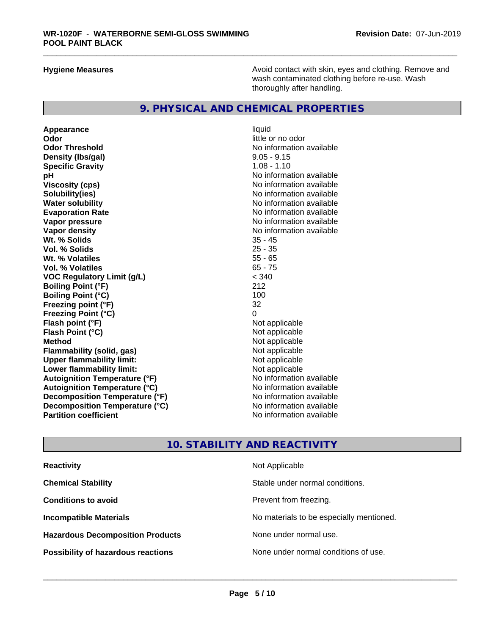**Hygiene Measures Avoid contact with skin, eyes and clothing. Remove and Avoid contact with skin, eyes and clothing. Remove and Avoid contact with skin, eyes and clothing. Remove and** wash contaminated clothing before re-use. Wash thoroughly after handling.

# **9. PHYSICAL AND CHEMICAL PROPERTIES**

**Appearance** liquid **Odor** little or no odor **Odor Threshold No information available No information available Density (lbs/gal)** 9.05 - 9.15 **Specific Gravity** 1.08 - 1.10 **pH pH**  $\blacksquare$ **Viscosity (cps)** No information available **Solubility(ies)** No information available **Water solubility**<br> **Evaporation Rate**<br> **Evaporation Rate**<br> **Evaporation Rate Vapor pressure** No information available **Vapor density**<br> **We Solids**<br>
We Solids
25 - 45 **Wt. % Solids** 35 - 45 **Vol. % Solids Wt. % Volatiles** 55 - 65 **Vol. % Volatiles VOC Regulatory Limit (g/L)** < 340 **Boiling Point (°F)** 212 **Boiling Point (°C)** 100<br>**Freezing point (°F)** 32 **Freezing point (°F) Freezing Point (°C)** 0<br>**Flash point (°F)** Not applicable **Flash point (°F)**<br> **Flash Point (°C)**<br> **Flash Point (°C)**<br> **Clash Point (°C) Flash Point (°C) Method**<br> **Flammability (solid. gas)** The Control of Mot applicable<br>
Not applicable **Flammability (solid, gas)** Not applicable Not applicable<br> **Upper flammability limit:** Not applicable **Upper flammability limit: Lower flammability limit:**<br> **Autoignition Temperature (°F)** Not applicable havailable available **Autoignition Temperature (°F) Autoignition Temperature (°C)**<br> **Decomposition Temperature (°F)** Moinformation available **Decomposition Temperature (°F)** No information available<br> **Decomposition Temperature (°C)** No information available **Decomposition Temperature (°C) Partition coefficient** No information available

**Evaporation Rate** No information available

# **10. STABILITY AND REACTIVITY**

| <b>Reactivity</b>                         | Not Applicable                           |
|-------------------------------------------|------------------------------------------|
| <b>Chemical Stability</b>                 | Stable under normal conditions.          |
| <b>Conditions to avoid</b>                | Prevent from freezing.                   |
| <b>Incompatible Materials</b>             | No materials to be especially mentioned. |
| <b>Hazardous Decomposition Products</b>   | None under normal use.                   |
| <b>Possibility of hazardous reactions</b> | None under normal conditions of use.     |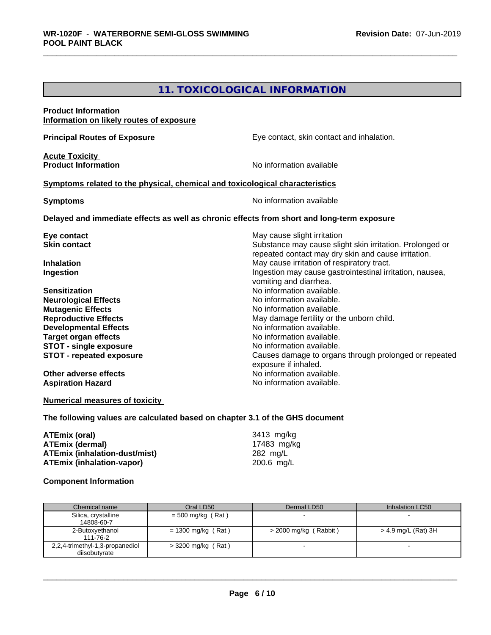# **11. TOXICOLOGICAL INFORMATION**

| <b>Product Information</b><br>Information on likely routes of exposure                                                                                                                                         |                                                                                                                                                                                                                         |
|----------------------------------------------------------------------------------------------------------------------------------------------------------------------------------------------------------------|-------------------------------------------------------------------------------------------------------------------------------------------------------------------------------------------------------------------------|
| <b>Principal Routes of Exposure</b>                                                                                                                                                                            | Eye contact, skin contact and inhalation.                                                                                                                                                                               |
| <b>Acute Toxicity</b><br><b>Product Information</b>                                                                                                                                                            | No information available                                                                                                                                                                                                |
| Symptoms related to the physical, chemical and toxicological characteristics                                                                                                                                   |                                                                                                                                                                                                                         |
| <b>Symptoms</b>                                                                                                                                                                                                | No information available                                                                                                                                                                                                |
|                                                                                                                                                                                                                | Delayed and immediate effects as well as chronic effects from short and long-term exposure                                                                                                                              |
| Eye contact<br><b>Skin contact</b>                                                                                                                                                                             | May cause slight irritation<br>Substance may cause slight skin irritation. Prolonged or<br>repeated contact may dry skin and cause irritation.                                                                          |
| <b>Inhalation</b><br>Ingestion                                                                                                                                                                                 | May cause irritation of respiratory tract.<br>Ingestion may cause gastrointestinal irritation, nausea,<br>vomiting and diarrhea.                                                                                        |
| <b>Sensitization</b><br><b>Neurological Effects</b><br><b>Mutagenic Effects</b><br><b>Reproductive Effects</b><br><b>Developmental Effects</b><br><b>Target organ effects</b><br><b>STOT - single exposure</b> | No information available.<br>No information available.<br>No information available.<br>May damage fertility or the unborn child.<br>No information available.<br>No information available.<br>No information available. |
| <b>STOT - repeated exposure</b>                                                                                                                                                                                | Causes damage to organs through prolonged or repeated<br>exposure if inhaled.                                                                                                                                           |
| Other adverse effects<br><b>Aspiration Hazard</b>                                                                                                                                                              | No information available.<br>No information available.                                                                                                                                                                  |

# **Numerical measures of toxicity**

**The following values are calculated based on chapter 3.1 of the GHS document**

| ATEmix (oral)                        | 3413 mg/kg  |  |
|--------------------------------------|-------------|--|
| <b>ATEmix (dermal)</b>               | 17483 ma/ka |  |
| <b>ATEmix (inhalation-dust/mist)</b> | 282 ma/L    |  |
| ATEmix (inhalation-vapor)            | 200.6 mg/L  |  |

# **Component Information**

| Chemical name                                    | Oral LD50            | Dermal LD50             | Inhalation LC50     |
|--------------------------------------------------|----------------------|-------------------------|---------------------|
| Silica, crystalline<br>14808-60-7                | $=$ 500 mg/kg (Rat)  |                         |                     |
| 2-Butoxyethanol<br>111-76-2                      | $= 1300$ mg/kg (Rat) | $>$ 2000 mg/kg (Rabbit) | > 4.9 mg/L (Rat) 3H |
| 2,2,4-trimethyl-1,3-propanediol<br>diisobutvrate | $>$ 3200 mg/kg (Rat) |                         |                     |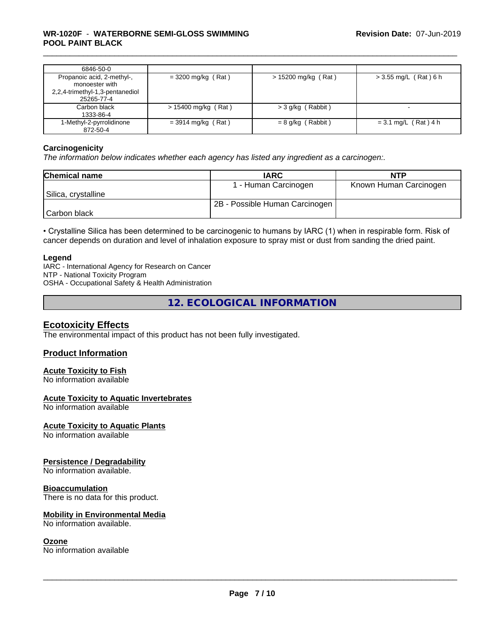| 6846-50-0                                                                                     |                       |                       |                          |
|-----------------------------------------------------------------------------------------------|-----------------------|-----------------------|--------------------------|
| Propanoic acid, 2-methyl-,<br>monoester with<br>2,2,4-trimethyl-1,3-pentanediol<br>25265-77-4 | $=$ 3200 mg/kg (Rat)  | $> 15200$ mg/kg (Rat) | $>$ 3.55 mg/L (Rat) 6 h  |
| Carbon black<br>1333-86-4                                                                     | $> 15400$ mg/kg (Rat) | $>$ 3 g/kg (Rabbit)   | $\overline{\phantom{a}}$ |
| 1-Methyl-2-pyrrolidinone<br>872-50-4                                                          | $=$ 3914 mg/kg (Rat)  | $= 8$ g/kg (Rabbit)   | $= 3.1$ mg/L (Rat) 4 h   |

### **Carcinogenicity**

*The information below indicateswhether each agency has listed any ingredient as a carcinogen:.*

| <b>Chemical name</b> | <b>IARC</b>                    | <b>NTP</b>             |
|----------------------|--------------------------------|------------------------|
|                      | 1 - Human Carcinogen           | Known Human Carcinogen |
| Silica, crystalline  |                                |                        |
|                      | 2B - Possible Human Carcinogen |                        |
| Carbon black         |                                |                        |

• Crystalline Silica has been determined to be carcinogenic to humans by IARC (1) when in respirable form. Risk of cancer depends on duration and level of inhalation exposure to spray mist or dust from sanding the dried paint.

### **Legend**

IARC - International Agency for Research on Cancer NTP - National Toxicity Program OSHA - Occupational Safety & Health Administration

**12. ECOLOGICAL INFORMATION**

# **Ecotoxicity Effects**

The environmental impact of this product has not been fully investigated.

# **Product Information**

# **Acute Toxicity to Fish**

No information available

### **Acute Toxicity to Aquatic Invertebrates**

No information available

### **Acute Toxicity to Aquatic Plants**

No information available

### **Persistence / Degradability**

No information available.

### **Bioaccumulation**

There is no data for this product.

### **Mobility in Environmental Media**

No information available.

### **Ozone**

No information available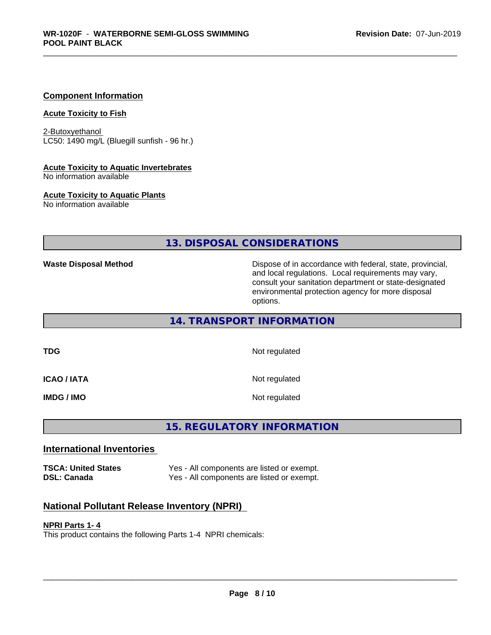# **Component Information**

#### **Acute Toxicity to Fish**

2-Butoxyethanol LC50: 1490 mg/L (Bluegill sunfish - 96 hr.)

#### **Acute Toxicity to Aquatic Invertebrates**

No information available

### **Acute Toxicity to Aquatic Plants**

No information available

# **13. DISPOSAL CONSIDERATIONS**

**Waste Disposal Method Dispose of in accordance with federal, state, provincial,** and local regulations. Local requirements may vary, consult your sanitation department or state-designated environmental protection agency for more disposal options.

# **14. TRANSPORT INFORMATION**

**TDG** Not regulated

**ICAO / IATA** Not regulated

**IMDG / IMO** Not regulated

# **15. REGULATORY INFORMATION**

# **International Inventories**

**TSCA: United States** Yes - All components are listed or exempt.<br> **DSL: Canada** Yes - All components are listed or exempt. Yes - All components are listed or exempt.

# **National Pollutant Release Inventory (NPRI)**

### **NPRI Parts 1- 4**

This product contains the following Parts 1-4 NPRI chemicals: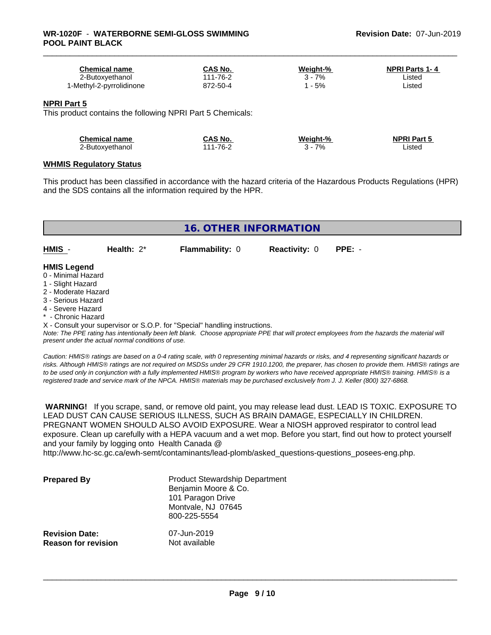| Chemical name            | CAS No.  | Weight-% | <b>NPRI Parts 1-4</b> |
|--------------------------|----------|----------|-----------------------|
| ∠-Butoxyethanol          | 111-76-2 | 7%       | Listed                |
| l-Methyl-2-pyrrolidinone | 872-50-4 | $-5%$    | Listed                |

#### **NPRI Part 5**

This product contains the following NPRI Part 5 Chemicals:

| <b>Chemical name</b> | CAS No.  | Weight-% | <b>NPRI Part 5</b> |
|----------------------|----------|----------|--------------------|
| 2-Butoxyethanol      | 111-76-2 | 7%       | Listed             |

#### **WHMIS Regulatory Status**

This product has been classified in accordance with the hazard criteria of the Hazardous Products Regulations (HPR) and the SDS contains all the information required by the HPR.

| <b>16. OTHER INFORMATION</b>                                                                                                                                                                                |               |                                                                            |                      |                                                                                                                                               |  |  |  |
|-------------------------------------------------------------------------------------------------------------------------------------------------------------------------------------------------------------|---------------|----------------------------------------------------------------------------|----------------------|-----------------------------------------------------------------------------------------------------------------------------------------------|--|--|--|
| HMIS -                                                                                                                                                                                                      | Health: $2^*$ | <b>Flammability: 0</b>                                                     | <b>Reactivity: 0</b> | $PPE: -$                                                                                                                                      |  |  |  |
| <b>HMIS Legend</b><br>0 - Minimal Hazard<br>1 - Slight Hazard<br>2 - Moderate Hazard<br>3 - Serious Hazard<br>4 - Severe Hazard<br>* - Chronic Hazard<br>present under the actual normal conditions of use. |               | X - Consult your supervisor or S.O.P. for "Special" handling instructions. |                      | Note: The PPE rating has intentionally been left blank. Choose appropriate PPE that will protect employees from the hazards the material will |  |  |  |

*Caution: HMISÒ ratings are based on a 0-4 rating scale, with 0 representing minimal hazards or risks, and 4 representing significant hazards or risks. Although HMISÒ ratings are not required on MSDSs under 29 CFR 1910.1200, the preparer, has chosen to provide them. HMISÒ ratings are to be used only in conjunction with a fully implemented HMISÒ program by workers who have received appropriate HMISÒ training. HMISÒ is a registered trade and service mark of the NPCA. HMISÒ materials may be purchased exclusively from J. J. Keller (800) 327-6868.*

 **WARNING!** If you scrape, sand, or remove old paint, you may release lead dust. LEAD IS TOXIC. EXPOSURE TO LEAD DUST CAN CAUSE SERIOUS ILLNESS, SUCH AS BRAIN DAMAGE, ESPECIALLY IN CHILDREN. PREGNANT WOMEN SHOULD ALSO AVOID EXPOSURE.Wear a NIOSH approved respirator to control lead exposure. Clean up carefully with a HEPA vacuum and a wet mop. Before you start, find out how to protect yourself and your family by logging onto Health Canada @

http://www.hc-sc.gc.ca/ewh-semt/contaminants/lead-plomb/asked\_questions-questions\_posees-eng.php.

| <b>Prepared By</b>                                  | <b>Product Stewardship Department</b><br>Benjamin Moore & Co.<br>101 Paragon Drive<br>Montvale, NJ 07645<br>800-225-5554 |  |
|-----------------------------------------------------|--------------------------------------------------------------------------------------------------------------------------|--|
| <b>Revision Date:</b><br><b>Reason for revision</b> | 07-Jun-2019<br>Not available                                                                                             |  |